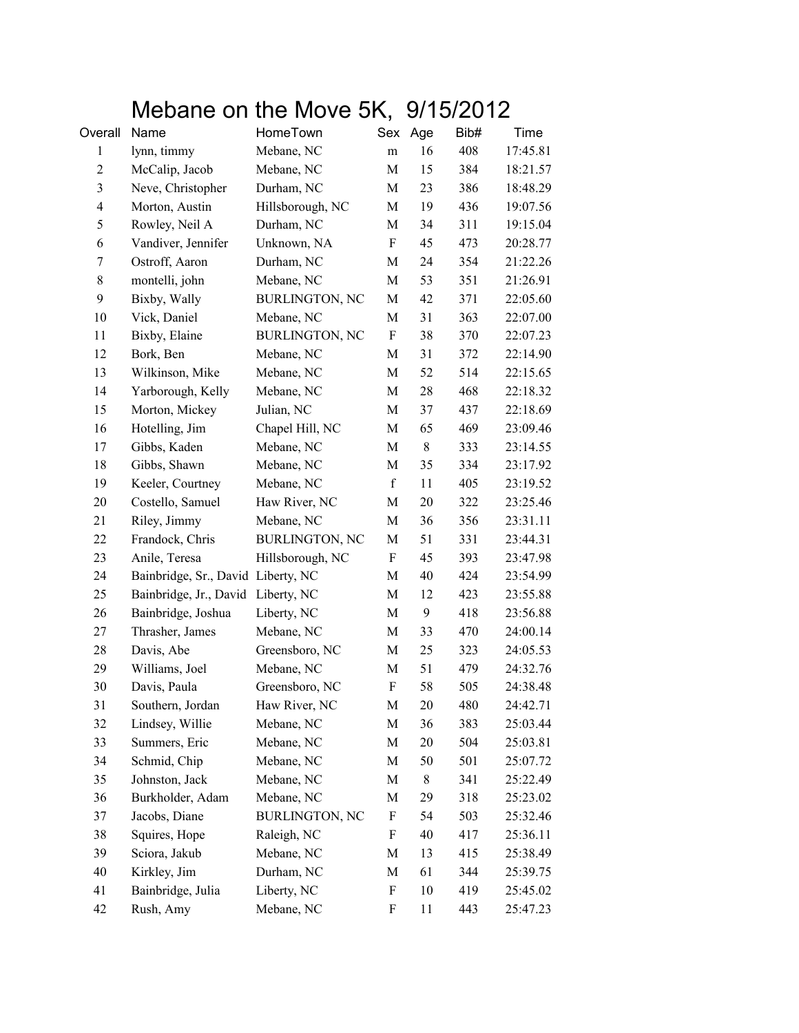## Mebane on the Move 5K, 9/15/2012

| Overall                  | Name                               | HomeTown              | Sex         | Age | Bib# | Time     |
|--------------------------|------------------------------------|-----------------------|-------------|-----|------|----------|
| 1                        | lynn, timmy                        | Mebane, NC            | m           | 16  | 408  | 17:45.81 |
| $\overline{2}$           | McCalip, Jacob                     | Mebane, NC            | M           | 15  | 384  | 18:21.57 |
| $\mathfrak{Z}$           | Neve, Christopher                  | Durham, NC            | M           | 23  | 386  | 18:48.29 |
| $\overline{\mathcal{A}}$ | Morton, Austin                     | Hillsborough, NC      | M           | 19  | 436  | 19:07.56 |
| 5                        | Rowley, Neil A                     | Durham, NC            | M           | 34  | 311  | 19:15.04 |
| 6                        | Vandiver, Jennifer                 | Unknown, NA           | F           | 45  | 473  | 20:28.77 |
| 7                        | Ostroff, Aaron                     | Durham, NC            | M           | 24  | 354  | 21:22.26 |
| $8\,$                    | montelli, john                     | Mebane, NC            | M           | 53  | 351  | 21:26.91 |
| 9                        | Bixby, Wally                       | <b>BURLINGTON, NC</b> | M           | 42  | 371  | 22:05.60 |
| 10                       | Vick, Daniel                       | Mebane, NC            | M           | 31  | 363  | 22:07.00 |
| 11                       | Bixby, Elaine                      | <b>BURLINGTON, NC</b> | F           | 38  | 370  | 22:07.23 |
| 12                       | Bork, Ben                          | Mebane, NC            | M           | 31  | 372  | 22:14.90 |
| 13                       | Wilkinson, Mike                    | Mebane, NC            | M           | 52  | 514  | 22:15.65 |
| 14                       | Yarborough, Kelly                  | Mebane, NC            | M           | 28  | 468  | 22:18.32 |
| 15                       | Morton, Mickey                     | Julian, NC            | M           | 37  | 437  | 22:18.69 |
| 16                       | Hotelling, Jim                     | Chapel Hill, NC       | M           | 65  | 469  | 23:09.46 |
| 17                       | Gibbs, Kaden                       | Mebane, NC            | M           | 8   | 333  | 23:14.55 |
| 18                       | Gibbs, Shawn                       | Mebane, NC            | M           | 35  | 334  | 23:17.92 |
| 19                       | Keeler, Courtney                   | Mebane, NC            | $\mathbf f$ | 11  | 405  | 23:19.52 |
| 20                       | Costello, Samuel                   | Haw River, NC         | M           | 20  | 322  | 23:25.46 |
| 21                       | Riley, Jimmy                       | Mebane, NC            | M           | 36  | 356  | 23:31.11 |
| 22                       | Frandock, Chris                    | <b>BURLINGTON, NC</b> | M           | 51  | 331  | 23:44.31 |
| 23                       | Anile, Teresa                      | Hillsborough, NC      | F           | 45  | 393  | 23:47.98 |
| 24                       | Bainbridge, Sr., David Liberty, NC |                       | M           | 40  | 424  | 23:54.99 |
| 25                       | Bainbridge, Jr., David Liberty, NC |                       | M           | 12  | 423  | 23:55.88 |
| 26                       | Bainbridge, Joshua                 | Liberty, NC           | M           | 9   | 418  | 23:56.88 |
| 27                       | Thrasher, James                    | Mebane, NC            | M           | 33  | 470  | 24:00.14 |
| 28                       | Davis, Abe                         | Greensboro, NC        | M           | 25  | 323  | 24:05.53 |
| 29                       | Williams, Joel                     | Mebane, NC            | M           | 51  | 479  | 24:32.76 |
| 30                       | Davis, Paula                       | Greensboro, NC        | F           | 58  | 505  | 24:38.48 |
| 31                       | Southern, Jordan                   | Haw River, NC         | M           | 20  | 480  | 24:42.71 |
| 32                       | Lindsey, Willie                    | Mebane, NC            | M           | 36  | 383  | 25:03.44 |
| 33                       | Summers, Eric                      | Mebane, NC            | M           | 20  | 504  | 25:03.81 |
| 34                       | Schmid, Chip                       | Mebane, NC            | M           | 50  | 501  | 25:07.72 |
| 35                       | Johnston, Jack                     | Mebane, NC            | M           | 8   | 341  | 25:22.49 |
| 36                       | Burkholder, Adam                   | Mebane, NC            | M           | 29  | 318  | 25:23.02 |
| 37                       | Jacobs, Diane                      | <b>BURLINGTON, NC</b> | F           | 54  | 503  | 25:32.46 |
| 38                       | Squires, Hope                      | Raleigh, NC           | F           | 40  | 417  | 25:36.11 |
| 39                       | Sciora, Jakub                      | Mebane, NC            | M           | 13  | 415  | 25:38.49 |
| 40                       | Kirkley, Jim                       | Durham, NC            | M           | 61  | 344  | 25:39.75 |
| 41                       | Bainbridge, Julia                  | Liberty, NC           | F           | 10  | 419  | 25:45.02 |
| 42                       | Rush, Amy                          | Mebane, NC            | F           | 11  | 443  | 25:47.23 |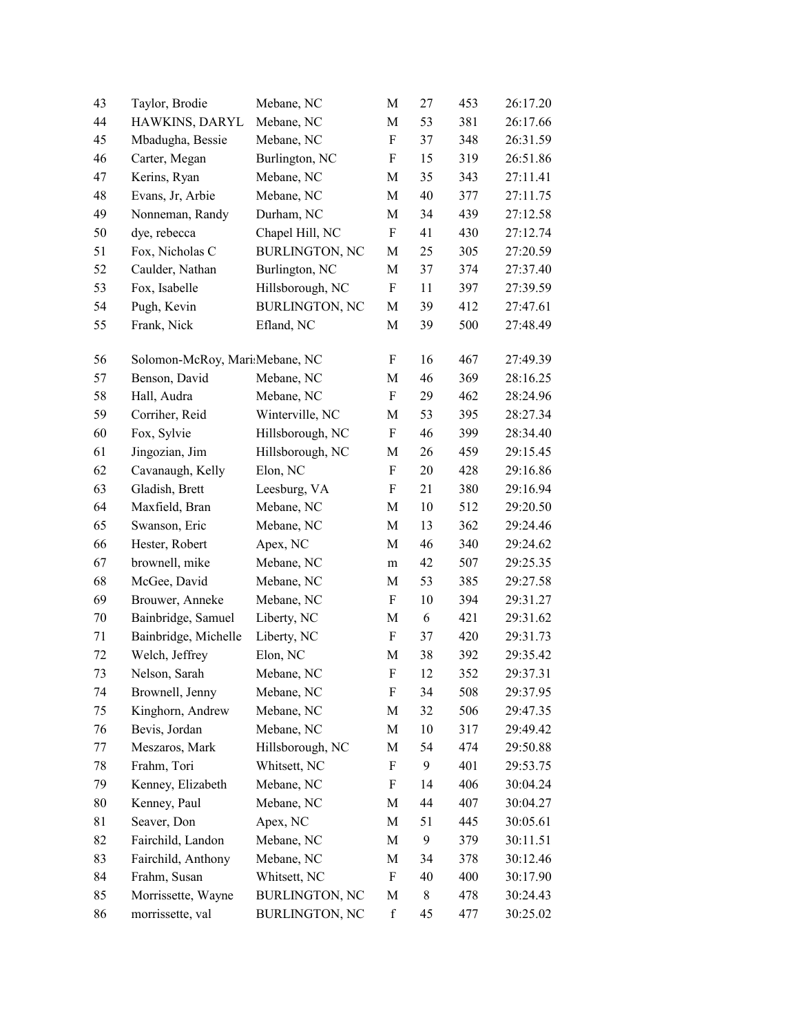| 43 | Taylor, Brodie                 | Mebane, NC            | M                         | 27 | 453 | 26:17.20 |
|----|--------------------------------|-----------------------|---------------------------|----|-----|----------|
| 44 | HAWKINS, DARYL                 | Mebane, NC            | M                         | 53 | 381 | 26:17.66 |
| 45 | Mbadugha, Bessie               | Mebane, NC            | F                         | 37 | 348 | 26:31.59 |
| 46 | Carter, Megan                  | Burlington, NC        | F                         | 15 | 319 | 26:51.86 |
| 47 | Kerins, Ryan                   | Mebane, NC            | M                         | 35 | 343 | 27:11.41 |
| 48 | Evans, Jr, Arbie               | Mebane, NC            | M                         | 40 | 377 | 27:11.75 |
| 49 | Nonneman, Randy                | Durham, NC            | M                         | 34 | 439 | 27:12.58 |
| 50 | dye, rebecca                   | Chapel Hill, NC       | F                         | 41 | 430 | 27:12.74 |
| 51 | Fox, Nicholas C                | <b>BURLINGTON, NC</b> | M                         | 25 | 305 | 27:20.59 |
| 52 | Caulder, Nathan                | Burlington, NC        | M                         | 37 | 374 | 27:37.40 |
| 53 | Fox, Isabelle                  | Hillsborough, NC      | $\boldsymbol{\mathrm{F}}$ | 11 | 397 | 27:39.59 |
| 54 | Pugh, Kevin                    | <b>BURLINGTON, NC</b> | M                         | 39 | 412 | 27:47.61 |
| 55 | Frank, Nick                    | Efland, NC            | M                         | 39 | 500 | 27:48.49 |
| 56 | Solomon-McRoy, Mari Mebane, NC |                       | F                         | 16 | 467 | 27:49.39 |
| 57 | Benson, David                  | Mebane, NC            | M                         | 46 | 369 | 28:16.25 |
| 58 | Hall, Audra                    | Mebane, NC            | F                         | 29 | 462 | 28:24.96 |
| 59 | Corriher, Reid                 | Winterville, NC       | M                         | 53 | 395 | 28:27.34 |
| 60 | Fox, Sylvie                    | Hillsborough, NC      | F                         | 46 | 399 | 28:34.40 |
| 61 | Jingozian, Jim                 | Hillsborough, NC      | M                         | 26 | 459 | 29:15.45 |
| 62 | Cavanaugh, Kelly               | Elon, NC              | $\boldsymbol{\mathrm{F}}$ | 20 | 428 | 29:16.86 |
| 63 | Gladish, Brett                 | Leesburg, VA          | F                         | 21 | 380 | 29:16.94 |
| 64 | Maxfield, Bran                 | Mebane, NC            | M                         | 10 | 512 | 29:20.50 |
| 65 | Swanson, Eric                  | Mebane, NC            | M                         | 13 | 362 | 29:24.46 |
| 66 | Hester, Robert                 | Apex, NC              | M                         | 46 | 340 | 29:24.62 |
| 67 | brownell, mike                 | Mebane, NC            | m                         | 42 | 507 | 29:25.35 |
| 68 | McGee, David                   | Mebane, NC            | $\mathbf M$               | 53 | 385 | 29:27.58 |
| 69 | Brouwer, Anneke                | Mebane, NC            | F                         | 10 | 394 | 29:31.27 |
| 70 | Bainbridge, Samuel             | Liberty, NC           | M                         | 6  | 421 | 29:31.62 |
| 71 | Bainbridge, Michelle           | Liberty, NC           | F                         | 37 | 420 | 29:31.73 |
| 72 | Welch, Jeffrey                 | Elon, NC              | M                         | 38 | 392 | 29:35.42 |
| 73 | Nelson, Sarah                  | Mebane, NC            | ${\bf F}$                 | 12 | 352 | 29:37.31 |
| 74 | Brownell, Jenny                | Mebane, NC            | F                         | 34 | 508 | 29:37.95 |
| 75 | Kinghorn, Andrew               | Mebane, NC            | M                         | 32 | 506 | 29:47.35 |
| 76 | Bevis, Jordan                  | Mebane, NC            | M                         | 10 | 317 | 29:49.42 |
| 77 | Meszaros, Mark                 | Hillsborough, NC      | M                         | 54 | 474 | 29:50.88 |
| 78 | Frahm, Tori                    | Whitsett, NC          | $\boldsymbol{\mathrm{F}}$ | 9  | 401 | 29:53.75 |
| 79 | Kenney, Elizabeth              | Mebane, NC            | F                         | 14 | 406 | 30:04.24 |
| 80 | Kenney, Paul                   | Mebane, NC            | M                         | 44 | 407 | 30:04.27 |
| 81 | Seaver, Don                    | Apex, NC              | M                         | 51 | 445 | 30:05.61 |
| 82 | Fairchild, Landon              | Mebane, NC            | M                         | 9  | 379 | 30:11.51 |
| 83 | Fairchild, Anthony             | Mebane, NC            | M                         | 34 | 378 | 30:12.46 |
| 84 | Frahm, Susan                   | Whitsett, NC          | F                         | 40 | 400 | 30:17.90 |
| 85 | Morrissette, Wayne             | <b>BURLINGTON, NC</b> | M                         | 8  | 478 | 30:24.43 |
| 86 | morrissette, val               | <b>BURLINGTON, NC</b> | $\mathbf f$               | 45 | 477 | 30:25.02 |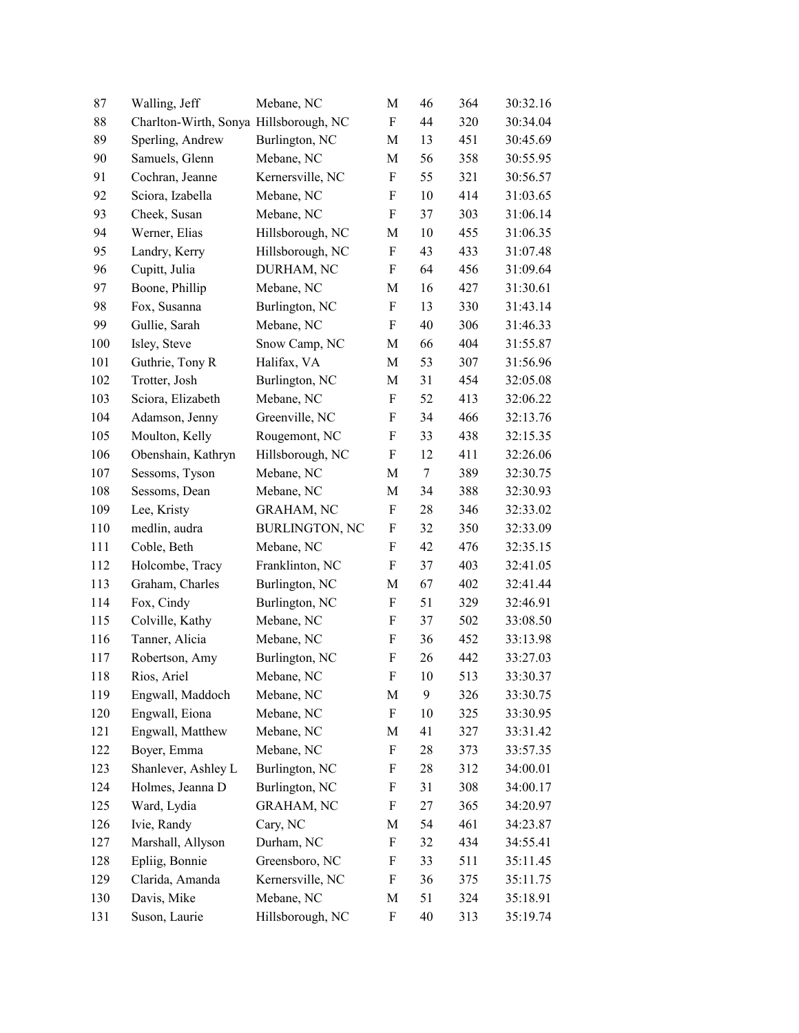| 87  | Walling, Jeff                          | Mebane, NC            | M                         | 46 | 364 | 30:32.16 |
|-----|----------------------------------------|-----------------------|---------------------------|----|-----|----------|
| 88  | Charlton-Wirth, Sonya Hillsborough, NC |                       | F                         | 44 | 320 | 30:34.04 |
| 89  | Sperling, Andrew                       | Burlington, NC        | M                         | 13 | 451 | 30:45.69 |
| 90  | Samuels, Glenn                         | Mebane, NC            | M                         | 56 | 358 | 30:55.95 |
| 91  | Cochran, Jeanne                        | Kernersville, NC      | $\boldsymbol{\mathrm{F}}$ | 55 | 321 | 30:56.57 |
| 92  | Sciora, Izabella                       | Mebane, NC            | $\rm F$                   | 10 | 414 | 31:03.65 |
| 93  | Cheek, Susan                           | Mebane, NC            | F                         | 37 | 303 | 31:06.14 |
| 94  | Werner, Elias                          | Hillsborough, NC      | M                         | 10 | 455 | 31:06.35 |
| 95  | Landry, Kerry                          | Hillsborough, NC      | F                         | 43 | 433 | 31:07.48 |
| 96  | Cupitt, Julia                          | DURHAM, NC            | F                         | 64 | 456 | 31:09.64 |
| 97  | Boone, Phillip                         | Mebane, NC            | M                         | 16 | 427 | 31:30.61 |
| 98  | Fox, Susanna                           | Burlington, NC        | F                         | 13 | 330 | 31:43.14 |
| 99  | Gullie, Sarah                          | Mebane, NC            | F                         | 40 | 306 | 31:46.33 |
| 100 | Isley, Steve                           | Snow Camp, NC         | M                         | 66 | 404 | 31:55.87 |
| 101 | Guthrie, Tony R                        | Halifax, VA           | M                         | 53 | 307 | 31:56.96 |
| 102 | Trotter, Josh                          | Burlington, NC        | M                         | 31 | 454 | 32:05.08 |
| 103 | Sciora, Elizabeth                      | Mebane, NC            | $\rm F$                   | 52 | 413 | 32:06.22 |
| 104 | Adamson, Jenny                         | Greenville, NC        | F                         | 34 | 466 | 32:13.76 |
| 105 | Moulton, Kelly                         | Rougemont, NC         | F                         | 33 | 438 | 32:15.35 |
| 106 | Obenshain, Kathryn                     | Hillsborough, NC      | F                         | 12 | 411 | 32:26.06 |
| 107 | Sessoms, Tyson                         | Mebane, NC            | M                         | 7  | 389 | 32:30.75 |
| 108 | Sessoms, Dean                          | Mebane, NC            | M                         | 34 | 388 | 32:30.93 |
| 109 | Lee, Kristy                            | <b>GRAHAM, NC</b>     | F                         | 28 | 346 | 32:33.02 |
| 110 | medlin, audra                          | <b>BURLINGTON, NC</b> | F                         | 32 | 350 | 32:33.09 |
| 111 | Coble, Beth                            | Mebane, NC            | F                         | 42 | 476 | 32:35.15 |
| 112 | Holcombe, Tracy                        | Franklinton, NC       | F                         | 37 | 403 | 32:41.05 |
| 113 | Graham, Charles                        | Burlington, NC        | M                         | 67 | 402 | 32:41.44 |
| 114 | Fox, Cindy                             | Burlington, NC        | $\boldsymbol{\mathrm{F}}$ | 51 | 329 | 32:46.91 |
| 115 | Colville, Kathy                        | Mebane, NC            | F                         | 37 | 502 | 33:08.50 |
| 116 | Tanner, Alicia                         | Mebane, NC            | F                         | 36 | 452 | 33:13.98 |
| 117 | Robertson, Amy                         | Burlington, NC        | $\boldsymbol{\mathrm{F}}$ | 26 | 442 | 33:27.03 |
| 118 | Rios, Ariel                            | Mebane, NC            | F                         | 10 | 513 | 33:30.37 |
| 119 | Engwall, Maddoch                       | Mebane, NC            | M                         | 9  | 326 | 33:30.75 |
| 120 | Engwall, Eiona                         | Mebane, NC            | F                         | 10 | 325 | 33:30.95 |
| 121 | Engwall, Matthew                       | Mebane, NC            | M                         | 41 | 327 | 33:31.42 |
| 122 | Boyer, Emma                            | Mebane, NC            | F                         | 28 | 373 | 33:57.35 |
| 123 | Shanlever, Ashley L                    | Burlington, NC        | F                         | 28 | 312 | 34:00.01 |
| 124 | Holmes, Jeanna D                       | Burlington, NC        | F                         | 31 | 308 | 34:00.17 |
| 125 | Ward, Lydia                            | <b>GRAHAM, NC</b>     | F                         | 27 | 365 | 34:20.97 |
| 126 | Ivie, Randy                            | Cary, NC              | M                         | 54 | 461 | 34:23.87 |
| 127 | Marshall, Allyson                      | Durham, NC            | F                         | 32 | 434 | 34:55.41 |
| 128 | Epliig, Bonnie                         | Greensboro, NC        | F                         | 33 | 511 | 35:11.45 |
| 129 | Clarida, Amanda                        | Kernersville, NC      | F                         | 36 | 375 | 35:11.75 |
| 130 | Davis, Mike                            | Mebane, NC            | $\mathbf M$               | 51 | 324 | 35:18.91 |
| 131 | Suson, Laurie                          | Hillsborough, NC      | F                         | 40 | 313 | 35:19.74 |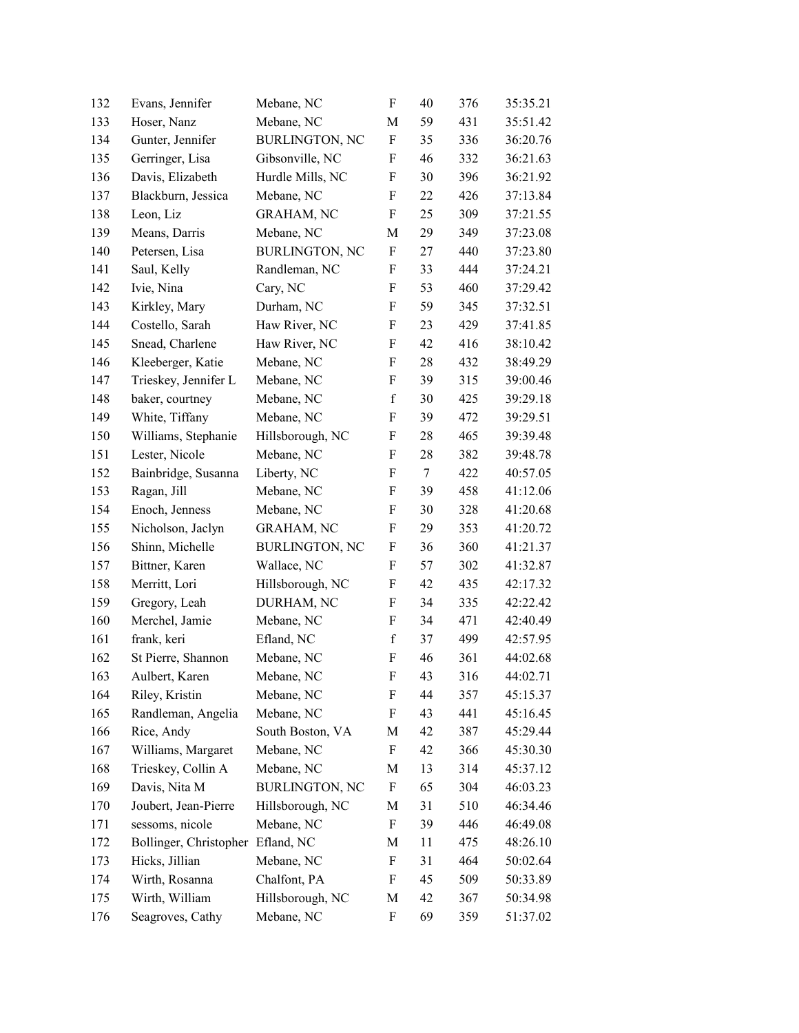| 132 | Evans, Jennifer        | Mebane, NC            | $\boldsymbol{\mathrm{F}}$ | 40 | 376 | 35:35.21 |
|-----|------------------------|-----------------------|---------------------------|----|-----|----------|
| 133 | Hoser, Nanz            | Mebane, NC            | M                         | 59 | 431 | 35:51.42 |
| 134 | Gunter, Jennifer       | <b>BURLINGTON, NC</b> | F                         | 35 | 336 | 36:20.76 |
| 135 | Gerringer, Lisa        | Gibsonville, NC       | F                         | 46 | 332 | 36:21.63 |
| 136 | Davis, Elizabeth       | Hurdle Mills, NC      | F                         | 30 | 396 | 36:21.92 |
| 137 | Blackburn, Jessica     | Mebane, NC            | F                         | 22 | 426 | 37:13.84 |
| 138 | Leon, Liz              | <b>GRAHAM, NC</b>     | F                         | 25 | 309 | 37:21.55 |
| 139 | Means, Darris          | Mebane, NC            | M                         | 29 | 349 | 37:23.08 |
| 140 | Petersen, Lisa         | <b>BURLINGTON, NC</b> | $\boldsymbol{\mathrm{F}}$ | 27 | 440 | 37:23.80 |
| 141 | Saul, Kelly            | Randleman, NC         | F                         | 33 | 444 | 37:24.21 |
| 142 | Ivie, Nina             | Cary, NC              | F                         | 53 | 460 | 37:29.42 |
| 143 | Kirkley, Mary          | Durham, NC            | F                         | 59 | 345 | 37:32.51 |
| 144 | Costello, Sarah        | Haw River, NC         | F                         | 23 | 429 | 37:41.85 |
| 145 | Snead, Charlene        | Haw River, NC         | F                         | 42 | 416 | 38:10.42 |
| 146 | Kleeberger, Katie      | Mebane, NC            | F                         | 28 | 432 | 38:49.29 |
| 147 | Trieskey, Jennifer L   | Mebane, NC            | F                         | 39 | 315 | 39:00.46 |
| 148 | baker, courtney        | Mebane, NC            | $\mathbf f$               | 30 | 425 | 39:29.18 |
| 149 | White, Tiffany         | Mebane, NC            | F                         | 39 | 472 | 39:29.51 |
| 150 | Williams, Stephanie    | Hillsborough, NC      | F                         | 28 | 465 | 39:39.48 |
| 151 | Lester, Nicole         | Mebane, NC            | $\boldsymbol{\mathrm{F}}$ | 28 | 382 | 39:48.78 |
| 152 | Bainbridge, Susanna    | Liberty, NC           | F                         | 7  | 422 | 40:57.05 |
| 153 | Ragan, Jill            | Mebane, NC            | F                         | 39 | 458 | 41:12.06 |
| 154 | Enoch, Jenness         | Mebane, NC            | F                         | 30 | 328 | 41:20.68 |
| 155 | Nicholson, Jaclyn      | <b>GRAHAM, NC</b>     | F                         | 29 | 353 | 41:20.72 |
| 156 | Shinn, Michelle        | <b>BURLINGTON, NC</b> | F                         | 36 | 360 | 41:21.37 |
| 157 | Bittner, Karen         | Wallace, NC           | F                         | 57 | 302 | 41:32.87 |
| 158 | Merritt, Lori          | Hillsborough, NC      | F                         | 42 | 435 | 42:17.32 |
| 159 | Gregory, Leah          | DURHAM, NC            | F                         | 34 | 335 | 42:22.42 |
| 160 | Merchel, Jamie         | Mebane, NC            | F                         | 34 | 471 | 42:40.49 |
| 161 | frank, keri            | Efland, NC            | $\mathbf f$               | 37 | 499 | 42:57.95 |
| 162 | St Pierre, Shannon     | Mebane, NC            | ${\bf F}$                 | 46 | 361 | 44:02.68 |
| 163 | Aulbert, Karen         | Mebane, NC            | F                         | 43 | 316 | 44:02.71 |
| 164 | Riley, Kristin         | Mebane, NC            | F                         | 44 | 357 | 45:15.37 |
| 165 | Randleman, Angelia     | Mebane, NC            | F                         | 43 | 441 | 45:16.45 |
| 166 | Rice, Andy             | South Boston, VA      | M                         | 42 | 387 | 45:29.44 |
| 167 | Williams, Margaret     | Mebane, NC            | F                         | 42 | 366 | 45:30.30 |
| 168 | Trieskey, Collin A     | Mebane, NC            | M                         | 13 | 314 | 45:37.12 |
| 169 | Davis, Nita M          | <b>BURLINGTON, NC</b> | F                         | 65 | 304 | 46:03.23 |
| 170 | Joubert, Jean-Pierre   | Hillsborough, NC      | M                         | 31 | 510 | 46:34.46 |
| 171 | sessoms, nicole        | Mebane, NC            | F                         | 39 | 446 | 46:49.08 |
| 172 | Bollinger, Christopher | Efland, NC            | M                         | 11 | 475 | 48:26.10 |
| 173 | Hicks, Jillian         | Mebane, NC            | F                         | 31 | 464 | 50:02.64 |
| 174 | Wirth, Rosanna         | Chalfont, PA          | F                         | 45 | 509 | 50:33.89 |
| 175 | Wirth, William         | Hillsborough, NC      | M                         | 42 | 367 | 50:34.98 |
| 176 | Seagroves, Cathy       | Mebane, NC            | F                         | 69 | 359 | 51:37.02 |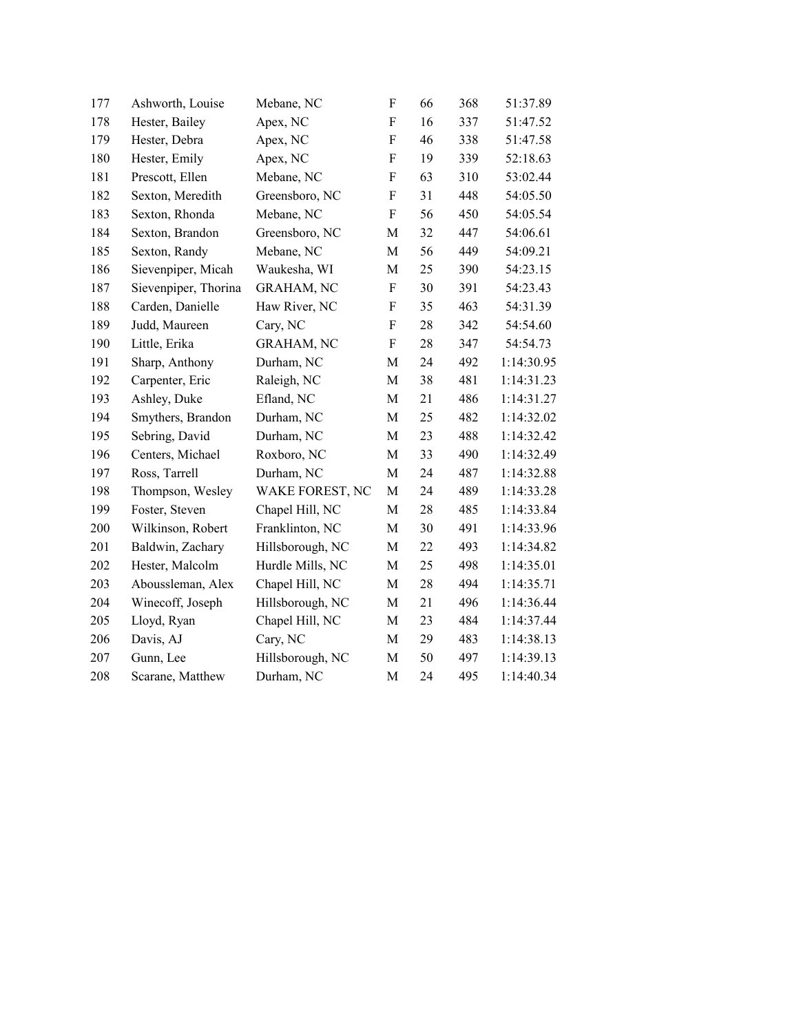| 177 | Ashworth, Louise     | Mebane, NC        | F                         | 66 | 368 | 51:37.89   |
|-----|----------------------|-------------------|---------------------------|----|-----|------------|
| 178 | Hester, Bailey       | Apex, NC          | F                         | 16 | 337 | 51:47.52   |
| 179 | Hester, Debra        | Apex, NC          | F                         | 46 | 338 | 51:47.58   |
| 180 | Hester, Emily        | Apex, NC          | F                         | 19 | 339 | 52:18.63   |
| 181 | Prescott, Ellen      | Mebane, NC        | F                         | 63 | 310 | 53:02.44   |
| 182 | Sexton, Meredith     | Greensboro, NC    | $\boldsymbol{\mathrm{F}}$ | 31 | 448 | 54:05.50   |
| 183 | Sexton, Rhonda       | Mebane, NC        | F                         | 56 | 450 | 54:05.54   |
| 184 | Sexton, Brandon      | Greensboro, NC    | M                         | 32 | 447 | 54:06.61   |
| 185 | Sexton, Randy        | Mebane, NC        | M                         | 56 | 449 | 54:09.21   |
| 186 | Sievenpiper, Micah   | Waukesha, WI      | M                         | 25 | 390 | 54:23.15   |
| 187 | Sievenpiper, Thorina | <b>GRAHAM, NC</b> | $\boldsymbol{\mathrm{F}}$ | 30 | 391 | 54:23.43   |
| 188 | Carden, Danielle     | Haw River, NC     | F                         | 35 | 463 | 54:31.39   |
| 189 | Judd, Maureen        | Cary, NC          | F                         | 28 | 342 | 54:54.60   |
| 190 | Little, Erika        | <b>GRAHAM, NC</b> | F                         | 28 | 347 | 54:54.73   |
| 191 | Sharp, Anthony       | Durham, NC        | M                         | 24 | 492 | 1:14:30.95 |
| 192 | Carpenter, Eric      | Raleigh, NC       | M                         | 38 | 481 | 1:14:31.23 |
| 193 | Ashley, Duke         | Efland, NC        | $\mathbf M$               | 21 | 486 | 1:14:31.27 |
| 194 | Smythers, Brandon    | Durham, NC        | M                         | 25 | 482 | 1:14:32.02 |
| 195 | Sebring, David       | Durham, NC        | M                         | 23 | 488 | 1:14:32.42 |
| 196 | Centers, Michael     | Roxboro, NC       | M                         | 33 | 490 | 1:14:32.49 |
| 197 | Ross, Tarrell        | Durham, NC        | M                         | 24 | 487 | 1:14:32.88 |
| 198 | Thompson, Wesley     | WAKE FOREST, NC   | M                         | 24 | 489 | 1:14:33.28 |
| 199 | Foster, Steven       | Chapel Hill, NC   | M                         | 28 | 485 | 1:14:33.84 |
| 200 | Wilkinson, Robert    | Franklinton, NC   | M                         | 30 | 491 | 1:14:33.96 |
| 201 | Baldwin, Zachary     | Hillsborough, NC  | M                         | 22 | 493 | 1:14:34.82 |
| 202 | Hester, Malcolm      | Hurdle Mills, NC  | M                         | 25 | 498 | 1:14:35.01 |
| 203 | Aboussleman, Alex    | Chapel Hill, NC   | M                         | 28 | 494 | 1:14:35.71 |
| 204 | Winecoff, Joseph     | Hillsborough, NC  | M                         | 21 | 496 | 1:14:36.44 |
| 205 | Lloyd, Ryan          | Chapel Hill, NC   | M                         | 23 | 484 | 1:14:37.44 |
| 206 | Davis, AJ            | Cary, NC          | M                         | 29 | 483 | 1:14:38.13 |
| 207 | Gunn, Lee            | Hillsborough, NC  | M                         | 50 | 497 | 1:14:39.13 |
| 208 | Scarane, Matthew     | Durham, NC        | M                         | 24 | 495 | 1:14:40.34 |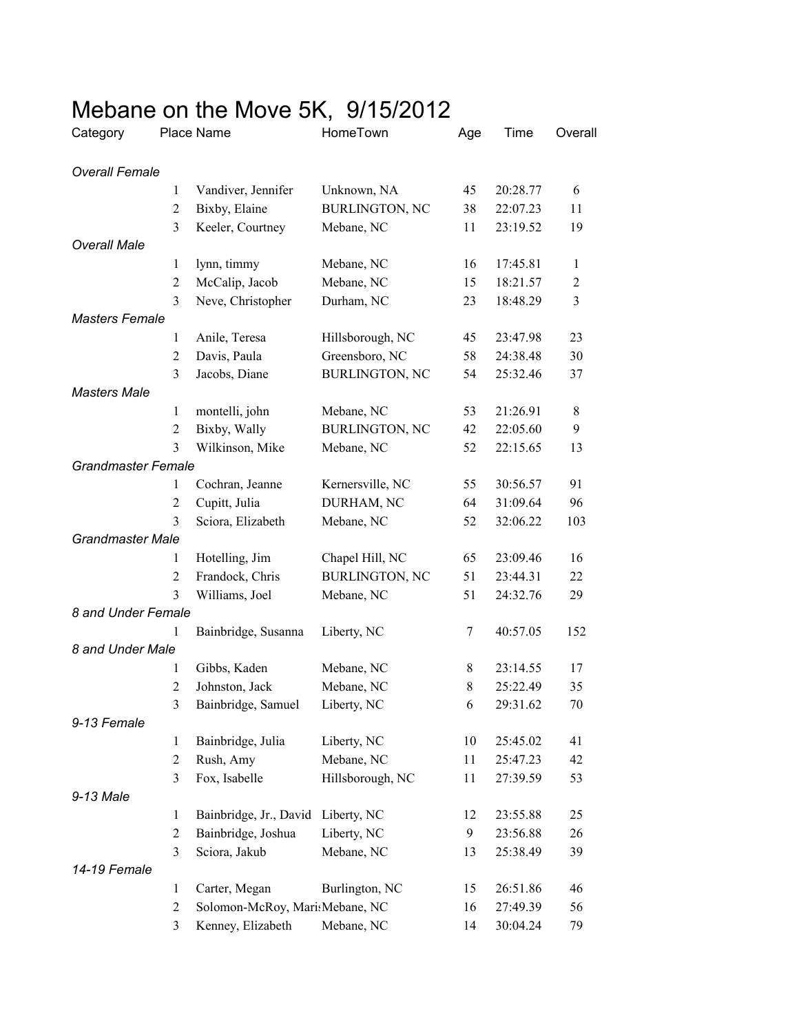| Category                  |                | Place Name                     | HomeTown              | Age        | Time     | Overall      |
|---------------------------|----------------|--------------------------------|-----------------------|------------|----------|--------------|
| <b>Overall Female</b>     |                |                                |                       |            |          |              |
|                           | 1              | Vandiver, Jennifer             | Unknown, NA           | 45         | 20:28.77 | 6            |
|                           | $\overline{2}$ | Bixby, Elaine                  | <b>BURLINGTON, NC</b> | 38         | 22:07.23 | 11           |
|                           | 3              | Keeler, Courtney               | Mebane, NC            | 11         | 23:19.52 | 19           |
| <b>Overall Male</b>       |                |                                |                       |            |          |              |
|                           | $\mathbf{1}$   | lynn, timmy                    | Mebane, NC            | 16         | 17:45.81 | $\mathbf{1}$ |
|                           | 2              | McCalip, Jacob                 | Mebane, NC            | 15         | 18:21.57 | $\sqrt{2}$   |
|                           | 3              | Neve, Christopher              | Durham, NC            | 23         | 18:48.29 | 3            |
| <b>Masters Female</b>     |                |                                |                       |            |          |              |
|                           | 1              | Anile, Teresa                  | Hillsborough, NC      | 45         | 23:47.98 | 23           |
|                           | 2              | Davis, Paula                   | Greensboro, NC        | 58         | 24:38.48 | 30           |
|                           | 3              | Jacobs, Diane                  | <b>BURLINGTON, NC</b> | 54         | 25:32.46 | 37           |
| <b>Masters Male</b>       |                |                                |                       |            |          |              |
|                           | 1              | montelli, john                 | Mebane, NC            | 53         | 21:26.91 | $\,$ 8 $\,$  |
|                           | $\overline{2}$ | Bixby, Wally                   | <b>BURLINGTON, NC</b> | 42         | 22:05.60 | 9            |
|                           | 3              | Wilkinson, Mike                | Mebane, NC            | 52         | 22:15.65 | 13           |
| <b>Grandmaster Female</b> |                |                                |                       |            |          |              |
|                           | 1              | Cochran, Jeanne                | Kernersville, NC      | 55         | 30:56.57 | 91           |
|                           | $\overline{c}$ | Cupitt, Julia                  | DURHAM, NC            | 64         | 31:09.64 | 96           |
|                           | 3              | Sciora, Elizabeth              | Mebane, NC            | 52         | 32:06.22 | 103          |
| <b>Grandmaster Male</b>   |                |                                |                       |            |          |              |
|                           | 1              | Hotelling, Jim                 | Chapel Hill, NC       | 65         | 23:09.46 | 16           |
|                           | $\overline{2}$ | Frandock, Chris                | <b>BURLINGTON, NC</b> | 51         | 23:44.31 | 22           |
|                           | 3              | Williams, Joel                 | Mebane, NC            | 51         | 24:32.76 | 29           |
| 8 and Under Female        |                |                                |                       |            |          |              |
|                           | 1              | Bainbridge, Susanna            | Liberty, NC           | 7          | 40:57.05 | 152          |
| 8 and Under Male          |                |                                |                       |            |          |              |
|                           | 1              | Gibbs, Kaden                   | Mebane, NC            | 8          | 23:14.55 | 17           |
|                           | $\overline{2}$ | Johnston, Jack                 | Mebane, NC            | 8          | 25:22.49 | 35           |
|                           | $\mathfrak{Z}$ | Bainbridge, Samuel             | Liberty, NC           | $\sqrt{6}$ | 29:31.62 | 70           |
| 9-13 Female               |                |                                |                       |            |          |              |
|                           | $\mathbf{1}$   | Bainbridge, Julia              | Liberty, NC           | 10         | 25:45.02 | 41           |
|                           | $\overline{2}$ | Rush, Amy                      | Mebane, NC            | 11         | 25:47.23 | 42           |
|                           | 3              | Fox, Isabelle                  | Hillsborough, NC      | 11         | 27:39.59 | 53           |
| 9-13 Male                 |                |                                |                       |            |          |              |
|                           | 1              | Bainbridge, Jr., David         | Liberty, NC           | 12         | 23:55.88 | 25           |
|                           | $\overline{2}$ | Bainbridge, Joshua             | Liberty, NC           | 9          | 23:56.88 | 26           |
|                           | 3              | Sciora, Jakub                  | Mebane, NC            | 13         | 25:38.49 | 39           |
| 14-19 Female              |                |                                |                       |            |          |              |
|                           | 1              | Carter, Megan                  | Burlington, NC        | 15         | 26:51.86 | 46           |
|                           | $\overline{2}$ | Solomon-McRoy, MarisMebane, NC |                       | 16         | 27:49.39 | 56           |
|                           | 3              | Kenney, Elizabeth              | Mebane, NC            | 14         | 30:04.24 | 79           |

## Mebane on the Move 5K, 9/15/2012